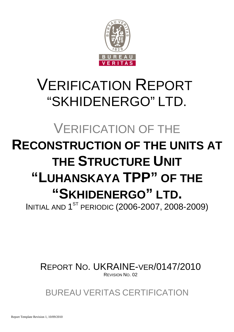

# VERIFICATION REPORT "SKHIDENERGO" LTD.

# VERIFICATION OF THE **RECONSTRUCTION OF THE UNITS AT THE STRUCTURE UNIT "LUHANSKAYA TPP" OF THE "SKHIDENERGO" LTD.**

**INITIAL AND 1<sup>ST</sup> PERIODIC (2006-2007, 2008-2009)** 

REPORT NO. UKRAINE-VER/0147/2010 REVISION NO. 02

BUREAU VERITAS CERTIFICATION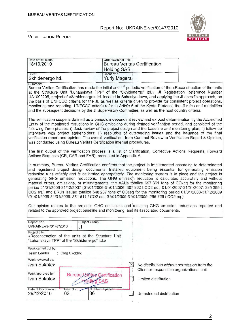

 $\overline{\mathbf{1}}$ 

| Organizational unit:<br>Date of first issue:<br><b>Bureau Veritas Certification</b><br>18/10/2010<br><b>Holding SAS</b><br>Client ref.:<br>Client: |                              |                                                                       |             |                                                                                                                                                                                 |                                                                                                                                                                                                                                                                                                                                                                                                                                                                                                                                                                                                                                                                                                                                                                                                                                                                                         |
|----------------------------------------------------------------------------------------------------------------------------------------------------|------------------------------|-----------------------------------------------------------------------|-------------|---------------------------------------------------------------------------------------------------------------------------------------------------------------------------------|-----------------------------------------------------------------------------------------------------------------------------------------------------------------------------------------------------------------------------------------------------------------------------------------------------------------------------------------------------------------------------------------------------------------------------------------------------------------------------------------------------------------------------------------------------------------------------------------------------------------------------------------------------------------------------------------------------------------------------------------------------------------------------------------------------------------------------------------------------------------------------------------|
| Skhidenergo Itd.                                                                                                                                   |                              | Yuriy Magera                                                          |             |                                                                                                                                                                                 |                                                                                                                                                                                                                                                                                                                                                                                                                                                                                                                                                                                                                                                                                                                                                                                                                                                                                         |
| Summary:                                                                                                                                           |                              |                                                                       |             | and the subsequent decisions by the JI Supervisory Committee, as well as the host country criteria.                                                                             | Bureau Veritas Certification has made the initial and 1 <sup>st</sup> periodic verification of the «Reconstruction of the units<br>at the Structure Unit "Luhanskaya TPP" of the "Skhidenergo" Itd.», JI Registration Reference Number<br>UA1000206, project of «Skhidenergo» Itd. located in Schastye town, and applying the JI specific approach, on<br>the basis of UNFCCC criteria for the JI, as well as criteria given to provide for consistent project operations,<br>monitoring and reporting. UNFCCC criteria refer to Article 6 of the Kyoto Protocol, the JI rules and modalities                                                                                                                                                                                                                                                                                           |
|                                                                                                                                                    |                              | was conducted using Bureau Veritas Certification internal procedures. |             |                                                                                                                                                                                 | The verification scope is defined as a periodic independent review and ex post determination by the Accredited<br>Entity of the monitored reductions in GHG emissions during defined verification period, and consisted of the<br>following three phases: i) desk review of the project design and the baseline and monitoring plan; ii) follow-up<br>interviews with project stakeholders; iii) resolution of outstanding issues and the issuance of the final<br>verification report and opinion. The overall verification, from Contract Review to Verification Report & Opinion,                                                                                                                                                                                                                                                                                                    |
|                                                                                                                                                    |                              | Actions Requests (CR, CAR and FAR), presented in Appendix A.          |             |                                                                                                                                                                                 | The first output of the verification process is a list of Clarification, Corrective Actions Requests, Forward                                                                                                                                                                                                                                                                                                                                                                                                                                                                                                                                                                                                                                                                                                                                                                           |
|                                                                                                                                                    |                              |                                                                       |             | (01/01/2008-31/01/2008: 381 511 t CO2 eq.; 01/01/2009-31/01/2009: 266 726 t CO2 eq.).<br>related to the approved project baseline and monitoring, and its associated documents. | In summary, Bureau Veritas Certification confirms that the project is implemented according to determinated<br>and registered project design documents. Installed equipment being essential for generating emission<br>reduction runs reliably and is calibrated appropriately. The monitoring system is in place and the project is<br>generating GHG emission reductions. The GHG emission reduction is calculated accurately and without<br>material errors, omissions, or misstatements, the AAUs totalize 697 361 tons of CO2eq for the monitoring<br>period 01/01/2006-31/12/2007 (01/01/2006-31/01/2006: 307 962 t CO2 eq.; 01/01/2007-31/01/2007: 389 399 t<br>CO2 eq.) and ERUs issued totalize 648 237 tons of CO2eq for the monitoring period 01/01/2008-31/12/2009<br>Our opinion relates to the project's GHG emissions and resulting GHG emission reductions reported and |
| Report No.:<br>UKRAINE-ver/0147/2010                                                                                                               | JI                           | Subject Group:                                                        |             |                                                                                                                                                                                 |                                                                                                                                                                                                                                                                                                                                                                                                                                                                                                                                                                                                                                                                                                                                                                                                                                                                                         |
| Project title:<br>"Luhanskaya TPP" of the "Skhidenergo" Itd.»                                                                                      |                              | «Reconstruction of the units at the Structure Unit                    |             |                                                                                                                                                                                 |                                                                                                                                                                                                                                                                                                                                                                                                                                                                                                                                                                                                                                                                                                                                                                                                                                                                                         |
| Work carried out by:<br>Team Leader                                                                                                                | Oleg Skoblyk                 |                                                                       |             |                                                                                                                                                                                 |                                                                                                                                                                                                                                                                                                                                                                                                                                                                                                                                                                                                                                                                                                                                                                                                                                                                                         |
| Work reviewed by:<br>Ivan Sokolov                                                                                                                  |                              |                                                                       | $\boxtimes$ | No distribution without permission from the<br>Client or responsible organizational unit                                                                                        |                                                                                                                                                                                                                                                                                                                                                                                                                                                                                                                                                                                                                                                                                                                                                                                                                                                                                         |
| Work approved by:<br>Ivan Sokolov                                                                                                                  | <b>Bureau</b> y              | <b>Sfitas Cartification</b><br><b>SAS</b><br>oldin                    |             | Limited distribution                                                                                                                                                            |                                                                                                                                                                                                                                                                                                                                                                                                                                                                                                                                                                                                                                                                                                                                                                                                                                                                                         |
| Date of this revision:<br>29/12/2010                                                                                                               | Rev. No.:<br>02 <sub>1</sub> | Number of pages:<br>36                                                |             | Unrestricted distribution                                                                                                                                                       |                                                                                                                                                                                                                                                                                                                                                                                                                                                                                                                                                                                                                                                                                                                                                                                                                                                                                         |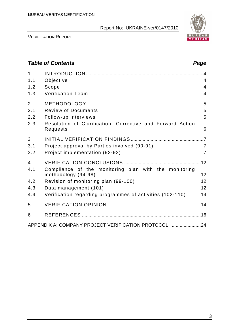

VERIFICATION REPORT

# **Table of Contents Page 2014** 1 INTRODUCTION .........................................................................................4 1.1 Objective 4 1.2 Scope 4 1.3 Verification Team 4 2 METHODOLOGY ........................................................................................5 2.1 Review of Documents 5 2.2 Follow-up Interviews 5 2.3 Resolution of Clarification, Corrective and Forward Action Requests 6 3 INITIAL VERIFICATION FINDINGS .......................................................7 3.1 Project approval by Parties involved (90-91) 7 3.2 Project implementation (92-93) 7 4 VERIFICATION CONCLUSIONS ..........................................................12 4.1 Compliance of the monitoring plan with the monitoring methodology (94-98) 12 4.2 Revision of monitoring plan (99-100) 12 4.3 Data management (101) 12 4.4 Verification regarding programmes of activities (102-110) 14 5 VERIFICATION OPINION .......................................................................14 6 REFERENCES ..........................................................................................16 APPENDIX A: COMPANY PROJECT VERIFICATION PROTOCOL .......................24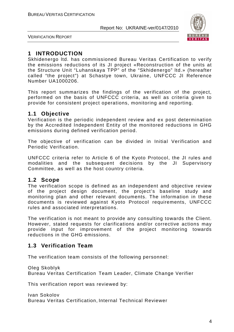

VERIFICATION REPORT

# **1 INTRODUCTION**

Skhidenergo ltd. has commissioned Bureau Veritas Certification to verify the emissions reductions of its JI project «Reconstruction of the units at the Structure Unit "Luhanskaya TPP" of the "Skhidenergo" ltd.» (hereafter called "the project") at Schastye town, Ukraine, UNFCCC JI Reference Number UA1000206.

This report summarizes the findings of the verification of the project, performed on the basis of UNFCCC criteria, as well as criteria given to provide for consistent project operations, monitoring and reporting.

# **1.1 Objective**

Verification is the periodic independent review and ex post determination by the Accredited Independent Entity of the monitored reductions in GHG emissions during defined verification period.

The objective of verification can be divided in Initial Verification and Periodic Verification.

UNFCCC criteria refer to Article 6 of the Kyoto Protocol, the JI rules and modalities and the subsequent decisions by the JI Supervisory Committee, as well as the host country criteria.

# **1.2 Scope**

The verification scope is defined as an independent and objective review of the project design document, the project's baseline study and monitoring plan and other relevant documents. The information in these documents is reviewed against Kyoto Protocol requirements, UNFCCC rules and associated interpretations.

The verification is not meant to provide any consulting towards the Client. However, stated requests for clarifications and/or corrective actions may provide input for improvement of the project monitoring towards reductions in the GHG emissions.

# **1.3 Verification Team**

The verification team consists of the following personnel:

Oleg Skoblyk

Bureau Veritas Certification Team Leader, Climate Change Verifier

This verification report was reviewed by:

Ivan Sokolov Bureau Veritas Certification, Internal Technical Reviewer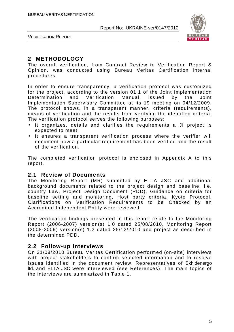

VERIFICATION REPORT

# **2 METHODOLOGY**

The overall verification, from Contract Review to Verification Report & Opinion, was conducted using Bureau Veritas Certification internal procedures.

In order to ensure transparency, a verification protocol was customized for the project, according to the version 01.1 of the Joint Implementation Determination and Verification Manual, issued by the Joint Implementation Supervisory Committee at its 19 meeting on 04/12/2009. The protocol shows, in a transparent manner, criteria (requirements), means of verification and the results from verifying the identified criteria. The verification protocol serves the following purposes:

- It organizes, details and clarifies the requirements a JI project is expected to meet;
- It ensures a transparent verification process where the verifier will document how a particular requirement has been verified and the result of the verification.

The completed verification protocol is enclosed in Appendix A to this report.

#### **2.1 Review of Documents**

The Monitoring Report (MR) submitted by ELTA JSC and additional background documents related to the project design and baseline, i.e. country Law, Project Design Document (PDD), Guidance on criteria for baseline setting and monitoring, Host party criteria, Kyoto Protocol, Clarifications on Verification Requirements to be Checked by an Accredited Independent Entity were reviewed.

The verification findings presented in this report relate to the Monitoring Report (2006-2007) version(s) 1.0 dated 25/08/2010, Monitoring Report (2008-2009) version(s) 1.2 dated 25/12/2010 and project as described in the determined PDD.

# **2.2 Follow-up Interviews**

On 31/08/2010 Bureau Veritas Certification performed (on-site) interviews with project stakeholders to confirm selected information and to resolve issues identified in the document review. Representatives of Skhidenergo ltd. and ELTA JSC were interviewed (see References). The main topics of the interviews are summarized in Table 1.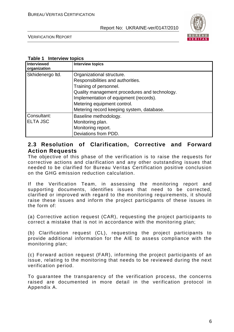

VERIFICATION REPORT

#### **Table 1 Interview topics**

| <b>Interviewed</b><br>organization | <b>Interview topics</b>                       |
|------------------------------------|-----------------------------------------------|
| Skhidenergo Itd.                   | Organizational structure.                     |
|                                    | Responsibilities and authorities.             |
|                                    | Training of personnel.                        |
|                                    | Quality management procedures and technology. |
|                                    | Implementation of equipment (records).        |
|                                    | Metering equipment control.                   |
|                                    | Metering record keeping system, database.     |
| Consultant:                        | Baseline methodology.                         |
| <b>ELTA JSC</b>                    | Monitoring plan.                              |
|                                    | Monitoring report.                            |
|                                    | Deviations from PDD.                          |

## **2.3 Resolution of Clarification, Corrective and Forward Action Requests**

The objective of this phase of the verification is to raise the requests for corrective actions and clarification and any other outstanding issues that needed to be clarified for Bureau Veritas Certification positive conclusion on the GHG emission reduction calculation.

If the Verification Team, in assessing the monitoring report and supporting documents, identifies issues that need to be corrected, clarified or improved with regard to the monitoring requirements, it should raise these issues and inform the project participants of these issues in the form of:

(a) Corrective action request (CAR), requesting the project participants to correct a mistake that is not in accordance with the monitoring plan;

(b) Clarification request (CL), requesting the project participants to provide additional information for the AIE to assess compliance with the monitoring plan;

(c) Forward action request (FAR), informing the project participants of an issue, relating to the monitoring that needs to be reviewed during the next verification period.

To guarantee the transparency of the verification process, the concerns raised are documented in more detail in the verification protocol in Appendix A.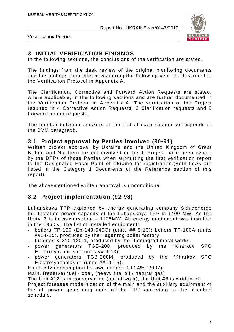

VERIFICATION REPORT

# **3 INITIAL VERIFICATION FINDINGS**

In the following sections, the conclusions of the verification are stated.

The findings from the desk review of the original monitoring documents and the findings from interviews during the follow up visit are described in the Verification Protocol in Appendix A.

The Clarification, Corrective and Forward Action Requests are stated, where applicable, in the following sections and are further documented in the Verification Protocol in Appendix A. The verification of the Project resulted in 4 Corrective Action Requests, 2 Clarification requests and 2 Forward action requests.

The number between brackets at the end of each section corresponds to the DVM paragraph.

# **3.1 Project approval by Parties involved (90-91)**

Written project approval by Ukraine and the United Kingdom of Great Britain and Northern Ireland involved in the JI Project have been issued by the DFPs of those Parties when submitting the first verification report to the Designated Focal Point of Ukraine for registration.(Both LoAs are listed in the Category 1 Documents of the Reference section of this report).

The abovementioned written approval is unconditional.

# **3.2 Project implementation (92-93)**

Luhanskaya TPP exploited by energy generating company Skhidenergo ltd. Installed power capacity of the Luhanskaya TPP is 1400 MW. As the Unit#12 is in conservation – 1125MW. All energy equipment was installed in the 1960's. The list of installed equipment:

- boilers TP-100 (Ep-140-640G) (units ## 9-13); boilers TP-100A (units ##14-15), produced by the Taganrog boiler factory.
- turbines K-210-130-1, produced by the "Leningrad metal works.
- power generators TGB-200, produced by the "Kharkov SPC Electrotyazhmash" (units ## 9-13);
- power generators TGB-200M, produced by the "Kharkov SPC Electrotyazhmash" (units ##14-15).

Electricity consumption for own needs –10.24% (2007).

Main, (reserve) fuel - coal, (heavy fuel oil / natural gas).

The Unit #12 is in conservation (out of work), the Unit #8 is written-off.

Project foresees modernization of the main and the auxiliary equipment of the all power generating units of the TPP according to the attached schedule.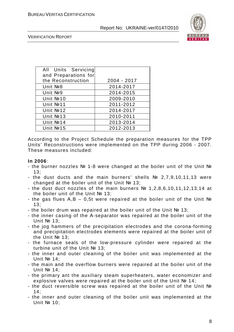

VERIFICATION REPORT

| All Units Servicing<br>and Preparations for |             |
|---------------------------------------------|-------------|
| the Reconstruction                          | 2004 - 2017 |
| Unit Nº8                                    | 2014-2017   |
| Unit Nº9                                    | 2014-2015   |
| Unit Nº10                                   | 2009-2010   |
| Unit No.11                                  | 2011-2012   |
| Unit Nº12                                   | 2014-2017   |
| Unit Nº13                                   | 2010-2011   |
| Unit Nº14                                   | 2013-2014   |
| Unit Nº15                                   | 2012-2013   |

According to the Project Schedule the preparation measures for the TPP Units' Reconstructions were implemented on the TPP during 2006 - 2007. These measures included:

#### **In 2006**:

- the burner nozzles № 1-8 were changed at the boiler unit of the Unit № 13;
- the dust ducts and the main burners' shells № 2,7,9,10,11,13 were changed at the boiler unit of the Unit № 13;
- the dust duct nozzles of the main burners № 1,2,8,6,10,11,12,13,14 at the boiler unit of the Unit № 13;
- the gas flues А,B 0,5t were repaired at the boiler unit of the Unit № 13;
- the boiler drum was repaired at the boiler unit of the Unit № 13;
- the inner casing of the А-separator was repaired at the boiler unit of the Unit № 13;
- the jog hammers of the precipitation electrodes and the corona-forming and precipitation electrodes elements were repaired at the boiler unit of the Unit № 13;
- the furnace seals of the low-pressure cylinder were repaired at the turbine unit of the Unit № 13;
- the inner and outer cleaning of the boiler unit was implemented at the Unit № 14;
- the main and the overflow burners were repaired at the boiler unit of the Unit № 14;
- the primary ant the auxiliary steam superheaters, water economizer and explosive valves were repaired at the boiler unit of the Unit № 14;
- the duct reversible screw was repaired at the boiler unit of the Unit №  $14:$
- the inner and outer cleaning of the boiler unit was implemented at the Unit № 10;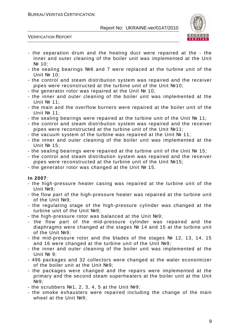

VERIFICATION REPORT

- the separation drum and the heating duct were repaired at the the inner and outer cleaning of the boiler unit was implemented at the Unit № 10;
- the sealing bearings №6 and 7 were replaced at the turbine unit of the Unit № 10;
- the control and steam distribution system was repaired and the receiver pipes were reconstructed at the turbine unit of the Unit №10;
- the generator rotor was repaired at the Unit № 10;
- the inner and outer cleaning of the boiler unit was implemented at the Unit № 11;
- the main and the overflow burners were repaired at the boiler unit of the Unit № 11;
- the sealing bearings were repaired at the turbine unit of the Unit № 11;
- the control and steam distribution system was repaired and the receiver pipes were reconstructed at the turbine unit of the Unit №11;
- the vacuum system of the turbine was repaired at the Unit № 11;
- the inner and outer cleaning of the boiler unit was implemented at the Unit № 15;
- the sealing bearings were repaired at the turbine unit of the Unit № 15;
- the control and steam distribution system was repaired and the receiver pipes were reconstructed at the turbine unit of the Unit №15;
- the generator rotor was changed at the Unit № 15.

#### **In 2007**:

- the high-pressure heater casing was repaired at the turbine unit of the Unit №9;
- the flow part of the high-pressure heater was repaired at the turbine unit of the Unit №9;
- the regulating stage of the high-pressure cylinder was changed at the turbine unit of the Unit Nº9:
- the high-pressure rotor was balanced at the Unit №9;
- the flow part of the mid-pressure cylinder was repaired and the diaphragms were changed at the stages № 14 and 15 at the turbine unit of the Unit №9;
- the mid-pressure rotor and the blades of the stages № 12, 13, 14, 15 and 16 were changed at the turbine unit of the Unit №9;
- the inner and outer cleaning of the boiler unit was implemented at the Unit № 9;
- 496 packages and 32 collectors were changed at the water econoimizer of the boiler unit at the Unit №9;
- the packages were changed and the repairs were implemented at the primary and the second steam superheaters at the boiler unit at the Unit No 9:
- the scrubbers №1, 2, 3, 4, 5 at the Unit №9;
- the smoke exhausters were repaired including the change of the main wheel at the Unit No 9;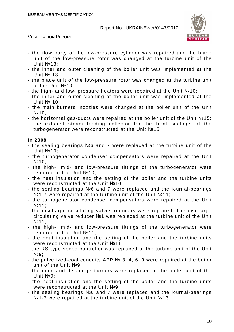

VERIFICATION REPORT

- the flow party of the low-pressure cylinder was repaired and the blade unit of the low-pressure rotor was changed at the turbine unit of the Unit №13;
- the inner and outer cleaning of the boiler unit was implemented at the Unit № 13;
- the blade unit of the low-pressure rotor was changed at the turbine unit of the Unit №10;
- the high- and low- pressure heaters were repaired at the Unit №10;
- the inner and outer cleaning of the boiler unit was implemented at the Unit № 10;
- the main burners' nozzles were changed at the boiler unit of the Unit No 10:
- the horizontal gas-ducts were repaired at the boiler unit of the Unit №15;
- the exhaust steam feeding collector for the front sealings of the turbogenerator were reconstructed at the Unit №15.

#### **In 2008**:

- the sealing bearings №6 and 7 were replaced at the turbine unit of the Unit №10;
- the turbogenerator condenser compensators were repaired at the Unit №10;
- the high-, mid- and low-pressure fittings of the turbogenerator were repaired at the Unit №10;
- the heat insulation and the setting of the boiler and the turbine units were reconstructed at the Unit №10:
- the sealing bearings №6 and 7 were replaced and the journal-bearings Nº1-7 were repaired at the turbine unit of the Unit №11:
- the turbogenerator condenser compensators were repaired at the Unit №11;
- the discharge circulating valves reducers were repaired. The discharge circulating valve reducer №1 was replaced at the turbine unit of the Unit №11;
- the high-, mid- and low-pressure fittings of the turbogenerator were repaired at the Unit №11;
- the heat insulation and the setting of the boiler and the turbine units were reconstructed at the Unit №11;
- the RS-type speed controller was replaced at the turbine unit of the Unit No 9:
- the pulverized-coal conduits APP № 3, 4, 6, 9 were repaired at the boiler unit of the Unit №9;
- the main and discharge burners were replaced at the boiler unit of the Unit №9;
- the heat insulation and the setting of the boiler and the turbine units were reconstructed at the Unit Nº9:
- the sealing bearings №6 and 7 were replaced and the journal-bearings №1-7 were repaired at the turbine unit of the Unit №13;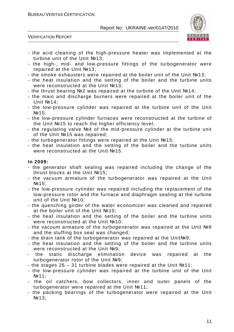

VERIFICATION REPORT

- the acid cleaning of the high-pressure heater was implemented at the turbine unit of the Unit №13;
- the high-, mid- and low-pressure fittings of the turbogenerator were repaired at the Unit №13;
- the smoke exhausters were repaired at the boiler unit of the Unit №13;
- the heat insulation and the setting of the boiler and the turbine units were reconstructed at the Unit №13:
- the thrust bearing №2 was repaired at the turbine of the Unit №14;
- the main and discharge burners were repaired at the boiler unit of the Unit No 14:
- the low-pressure cylinder was repaired at the turbine unit of the Unit №15;
- the low-pressure cylinder furnaces were reconstructed at the turbine of the Unit №15 to reach the higher efficiency level;
- the regulating valve №4 of the mid-pressure cylinder at the turbine unit of the Unit №15 was repaired;
- the turbogenerator fittings were repaired at the Unit №15;
- the heat insulation and the setting of the boiler and the turbine units were reconstructed at the Unit №15.

#### **In 2009:**

- the generator shaft sealing was repaired including the change of the thrust blocks at the Unit №15;
- the vacuum armature of the turbogenerator was repaired at the Unit №15;
- the low-pressure cylinder was repaired including the replacement of the low-pressure rotor and the furnace and diaphragm sealing at the turbine unit of the Unit №10;
- the quenching girder of the water economizer was cleaned and repaired at the boiler unit of the Unit №10;
- the heat insulation and the setting of the boiler and the turbine units were reconstructed at the Unit №10;
- the vacuum armature of the turbogenerator was repaired at the Unit №9 and the stuffing box seal was changed;
- the drain tank of the turbogenerator was repaired at the Unit№9;
- the heat insulation and the setting of the boiler and the turbine units were reconstructed at the Unit №9:
- the static discharge elimination device was repaired at the turbogenerator rotor of the Unit №9;
- the stages 26 31 turbine blades were repaired at the Unit №11;
- the low-pressure cylinder was repaired at the turbine unit of the Unit №11;
- the oil catchers, bow collectors, inner and outer panels of the turbogenerator were repaired at the Unit №11;
- the packing bearings of the turbogenerator were repaired at the Unit №13;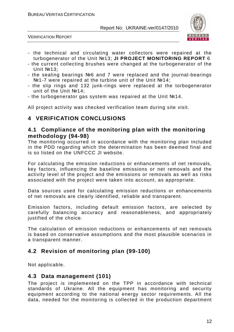

VERIFICATION REPORT

- the technical and circulating water collectors were repaired at the turbogenerator of the Unit №13; **JI PROJECT MONITORING REPORT** 6
- the current collecting brushes were changed at the turbogenerator of the Unit №13;
- the sealing bearings №6 and 7 were replaced and the journal-bearings №1-7 were repaired at the turbine unit of the Unit №14;
- the slip rings and 132 junk-rings were replaced at the torbogenerator unit of the Unit №14;
- the turbogenerator gas system was repaired at the Unit №14.

All project activity was checked verification team during site visit.

# **4 VERIFICATION CONCLUSIONS**

### **4.1 Compliance of the monitoring plan with the monitoring methodology (94-98)**

The monitoring occurred in accordance with the monitoring plan included in the PDD regarding which the determination has been deemed final and is so listed on the UNFCCC JI website.

For calculating the emission reductions or enhancements of net removals, key factors, influencing the baseline emissions or net removals and the activity level of the project and the emissions or removals as well as risks associated with the project were taken into account, as appropriate.

Data sources used for calculating emission reductions or enhancements of net removals are clearly identified, reliable and transparent.

Emission factors, including default emission factors, are selected by carefully balancing accuracy and reasonableness, and appropriately justified of the choice.

The calculation of emission reductions or enhancements of net removals is based on conservative assumptions and the most plausible scenarios in a transparent manner.

# **4.2 Revision of monitoring plan (99-100)**

Not applicable.

# **4.3 Data management (101)**

The project is implemented on the TPP in accordance with technical standards of Ukraine. All the equipment has monitoring and security equipment according to the national energy sector requirements. All the data, needed for the monitoring is collected in the production department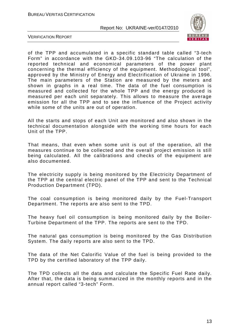

VERIFICATION REPORT

of the TPP and accumulated in a specific standard table called "3-tech Form" in accordance with the GKD-34.09.103-96 "The calculation of the reported technical and economical parameters of the power plant concerning the thermal efficiency of the equipment. Methodological tool", approved by the Ministry of Energy and Electrification of Ukraine in 1996. The main parameters of the Station are measured by the meters and shown in graphs in a real time. The data of the fuel consumption is measured and collected for the whole TPP and the energy produced is measured per each unit separately. This allows to measure the average emission for all the TPP and to see the influence of the Project activity while some of the units are out of operation.

All the starts and stops of each Unit are monitored and also shown in the technical documentation alongside with the working time hours for each Unit of the TPP.

That means, that even when some unit is out of the operation, all the measures continue to be collected and the overall project emission is still being calculated. All the calibrations and checks of the equipment are also documented.

The electricity supply is being monitored by the Electricity Department of the TPP at the central electric panel of the TPP and sent to the Technical Production Department (TPD).

The coal consumption is being monitored daily by the Fuel-Transport Department. The reports are also sent to the TPD.

The heavy fuel oil consumption is being monitored daily by the Boiler-Turbine Department of the TPP. The reports are sent to the TPD.

The natural gas consumption is being monitored by the Gas Distribution System. The daily reports are also sent to the TPD.

The data of the Net Calorific Value of the fuel is being provided to the TPD by the certified laboratory of the TPP daily.

The TPD collects all the data and calculate the Specific Fuel Rate daily. After that, the data is being summarized in the monthly reports and in the annual report called "3-tech" Form.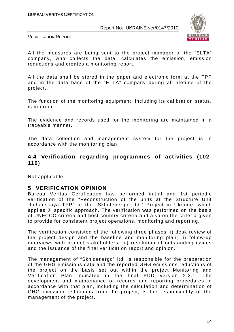

VERIFICATION REPORT

All the measures are being sent to the project manager of the "ELTA" company, who collects the data, calculates the emission, emission reductions and creates a monitoring report.

All the data shall be stored in the paper and electronic form at the TPP and in the data base of the "ELTA" company during all lifetime of the project.

The function of the monitoring equipment, including its calibration status, is in order.

The evidence and records used for the monitoring are maintained in a traceable manner.

The data collection and management system for the project is in accordance with the monitoring plan.

## **4.4 Verification regarding programmes of activities (102- 110)**

Not applicable.

#### **5 VERIFICATION OPINION**

Bureau Veritas Certification has performed initial and 1st periodic verification of the "Reconstruction of the units at the Structure Unit "Luhanskaya TPP" of the "Skhidenergo" ltd." Project in Ukraine, which applies JI specific approach. The verification was performed on the basis of UNFCCC criteria and host country criteria and also on the criteria given to provide for consistent project operations, monitoring and reporting.

The verification consisted of the following three phases: i) desk review of the project design and the baseline and monitoring plan; ii) follow-up interviews with project stakeholders; iii) resolution of outstanding issues and the issuance of the final verification report and opinion.

The management of "Skhidenergo" ltd. is responsible for the preparation of the GHG emissions data and the reported GHG emissions reductions of the project on the basis set out within the project Monitoring and Verification Plan indicated in the final PDD version 2.2.1. The development and maintenance of records and reporting procedures in accordance with that plan, including the calculation and determination of GHG emission reductions from the project, is the responsibility of the management of the project.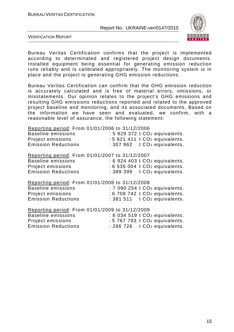

VERIFICATION REPORT

Bureau Veritas Certification confirms that the project is implemented according to determinated and registered project design documents. Installed equipment being essential for generating emission reduction runs reliably and is calibrated appropriately. The monitoring system is in place and the project is generating GHG emission reductions.

Bureau Veritas Certification can confirm that the GHG emission reduction is accurately calculated and is free of material errors, omissions, or misstatements. Our opinion relates to the project's GHG emissions and resulting GHG emissions reductions reported and related to the approved project baseline and monitoring, and its associated documents. Based on the information we have seen and evaluated, we confirm, with a reasonable level of assurance, the following statement:

Reporting period: From 01/01/2006 to 31/12/2006

| <b>Baseline emissions</b><br>Project emissions  | : 5 929 372 t CO <sub>2</sub> equivalents.<br>: 5 621 411 t CO <sub>2</sub> equivalents. |
|-------------------------------------------------|------------------------------------------------------------------------------------------|
| <b>Emission Reductions</b>                      | : 307 962 t CO <sub>2</sub> equivalents.                                                 |
| Reporting period: From 01/01/2007 to 31/12/2007 |                                                                                          |
| <b>Baseline emissions</b>                       | $: 6924403$ t $CO2$ equivalents.                                                         |
| Project emissions                               | : 6 535 004 t CO <sub>2</sub> equivalents.                                               |
| <b>Emission Reductions</b>                      | : 389 399 t CO <sub>2</sub> equivalents.                                                 |
| Reporting period: From 01/01/2008 to 31/12/2008 |                                                                                          |
| <b>Baseline emissions</b>                       | $: 7090254$ t $CO2$ equivalents.                                                         |
| Project emissions                               | : 6 708 742 t CO <sub>2</sub> equivalents.                                               |
| <b>Emission Reductions</b>                      | : 381 511 t CO <sub>2</sub> equivalents.                                                 |

| Reporting period: From 01/01/2009 to 31/12/2009 |                                  |
|-------------------------------------------------|----------------------------------|
| Baseline emissions                              | $: 6034519tCO2$ equivalents.     |
| Project emissions                               | $: 5767793$ t $CO2$ equivalents. |
| <b>Emission Reductions</b>                      | $: 266$ 726 t $CO2$ equivalents. |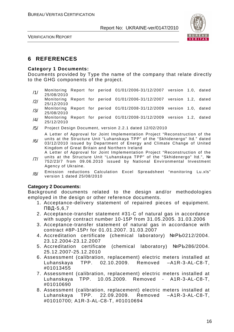

# **6 REFERENCES**

#### **Category 1 Documents:**

Documents provided by Type the name of the company that relate directly to the GHG components of the project.

- /1/ Monitoring Report for period 01/01/2006-31/12/2007 version 1.0, dated 25/08/2010
- /2/ Monitoring Report for period 01/01/2006-31/12/2007 version 1.2, dated 25/12/2010
- /3/ Monitoring Report for period 01/01/2008-31/12/2009 version 1.0, dated 25/08/2010
- /4/ Monitoring Report for period 01/01/2008-31/12/2009 version 1.2, dated 25/12/2010
- /5/ Project Design Document, version 2.2.1 dated 12/02/2010

/6/ A Letter of Approval for Joint Implementation Project "Reconstruction of the units at the Structure Unit "Luhanskaya TPP" of the "Skhidenergo" ltd." dated 03/12/2010 issued by Department of Energy and Climate Change of United Kingdom of Great Britain and Northern Ireland

- A Letter of Approval for Joint Implementation Project "Reconstruction of the
- /7/ units at the Structure Unit "Luhanskaya TPP" of the "Skhidenergo" ltd.", № 752/23/7 from 09.06.2010 issued by National Environmental Investment Agency of Ukraine.
- /8/ Emission reductions Calculation Excel Spreadsheet "monitoring Lu.xls" version 1 dated 25/08/2010

#### **Category 2 Documents:**

Background documents related to the design and/or methodologies employed in the design or other reference documents.

- 1. Acceptance-delivery statement of repaired pieces of equipment. ПВД-5,6,7
- 2. Acceptance-transfer statement #31-C of natural gas in accordance with supply contract number 10-15P from 31.05.2005. 31.03.2006
- 3. Acceptance-transfer statement of natural gas in accordance with contract #8P-15Pr for 01.01.2007. 31.03.2007
- 4. Accreditation certificate (chemical laboratory) №РЬ0212/2004. 23.12.2004-23.12.2007
- 5. Accreditation certificate (chemical laboratory) №РЬ286/2004. 25.12.2007-25.12.2010
- 6. Assessment (calibration, replacement) electric meters installed at Luhanskaya TPP. 02.10.2009. Removed –A1R-3-AL-C8-T, #01013455
- 7. Assessment (calibration, replacement) electric meters installed at Luhanskaya TPP. 10.05.2009. Removed - A1R-3-AL-C8-T, #01010690
- 8. Assessment (calibration, replacement) electric meters installed at Luhanskaya TPP. 22.09.2009. Removed –A1R-3-AL-C8-T, #01010700; A1R-3-AL-C8-T, #01010694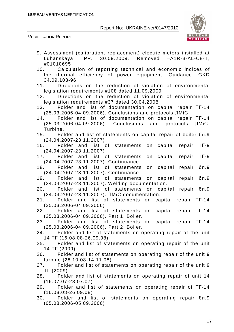

| 9. Assessment (calibration, replacement) electric meters installed at<br>Luhanskaya TPP. 30.09.2009. Removed -A1R-3-AL-C8-T,<br>#01010695  |
|--------------------------------------------------------------------------------------------------------------------------------------------|
| 10. Calculation of reporting technical and economic indices of<br>the thermal efficiency of power equipment. Guidance. GKD<br>34.09.103-96 |
| 11. Directions on the reduction of violation of environmental<br>legislation requirements #108 dated 11.09.2009                            |
| 12. Directions on the reduction of violation of environmental<br>legislation requirements #37 dated 30.04.2008                             |
| 13. Folder and list of documentation on capital repair TT-14<br>(25.03.2006-04.09.2006). Conclusions and protocols JIMiC                   |
| 14. Folder and list of documentation on capital repair TF-14<br>(25.03.2006-04.09.2006). Conclusions and protocols<br>ЛМіС.<br>Turbine.    |
| 15. Folder and list of statements on capital repair of boiler бл.9                                                                         |
| $(24.04.2007 - 23.11.2007)$<br>16. Folder and list of statements on capital repair TF-9                                                    |
| $(24.04.2007 - 23.11.2007)$<br>17. Folder and list of statements<br>on capital repair TF-9                                                 |
| (24.04.2007-23.11.2007). Continuance<br>18. Folder and list of statements on<br>бл.9<br>capital repair                                     |
| (24.04.2007-23.11.2007). Continuance<br>19. Folder and list of statements on capital repair<br>бл.9                                        |
| (24.04.2007-23.11.2007). Welding documentation.                                                                                            |
| 20. Folder and list of statements on capital repair бл.9<br>(24.04.2007-23.11.2007). JIMIC documentation.                                  |
| repair TF-14<br>21. Folder and list of statements on capital<br>$(25.03.2006 - 04.09.2006)$                                                |
| 22. Folder and list of statements on capital repair TT-14                                                                                  |
| (25.03.2006-04.09.2006). Part 1. Boiler.<br>23. Folder and list of statements on<br>capital repair TF-14                                   |
| (25.03.2006-04.09.2006). Part 2. Boiler.                                                                                                   |
| Folder and list of statements on operating repair of the unit<br>24.                                                                       |
| 14 TF (16.08.08-26.09.08)                                                                                                                  |
| Folder and list of statements on operating repair of the unit<br>25.<br>14 TF (2009)                                                       |
| 26. Folder and list of statements on operating repair of the unit 9                                                                        |
| turbine (28.10.08-14.11.08)                                                                                                                |
| Folder and list of statements on operating repair of the unit 9<br>27.                                                                     |
| TT (2009)<br>28.                                                                                                                           |
| Folder and list of statements on operating repair of unit 14<br>$(16.07.07 - 28.07.07)$                                                    |
| 29. Folder and list of statements on operating repair of TT-14                                                                             |
| $(16.08.08-26.09.08)$                                                                                                                      |
| 30. Folder and list of statements on operating repair бл.9<br>$(05.08.2006 - 05.09.2006)$                                                  |
|                                                                                                                                            |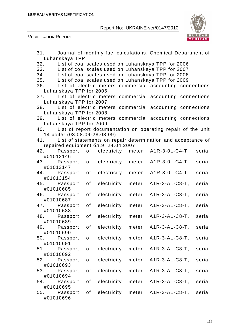



| 31.                                                              |    |             |       | Journal of monthly fuel calculations. Chemical Department of |        |
|------------------------------------------------------------------|----|-------------|-------|--------------------------------------------------------------|--------|
| Luhanskaya TPP                                                   |    |             |       |                                                              |        |
| 32.                                                              |    |             |       | List of coal scales used on Luhanskaya TPP for 2006          |        |
| 33. List of coal scales used on Luhanskaya TPP for 2007          |    |             |       |                                                              |        |
| 34. List of coal scales used on Luhanskaya TPP for 2008          |    |             |       |                                                              |        |
| 35. List of coal scales used on Luhanskaya TPP for 2009          |    |             |       |                                                              |        |
|                                                                  |    |             |       |                                                              |        |
| 36. List of electric meters commercial accounting connections    |    |             |       |                                                              |        |
| Luhanskaya TPP for 2006                                          |    |             |       |                                                              |        |
| 37.                                                              |    |             |       | List of electric meters commercial accounting connections    |        |
| Luhanskaya TPP for 2007                                          |    |             |       |                                                              |        |
| 38. List of electric meters commercial accounting connections    |    |             |       |                                                              |        |
| Luhanskaya TPP for 2008                                          |    |             |       |                                                              |        |
| 39. List of electric meters commercial accounting connections    |    |             |       |                                                              |        |
| Luhanskaya TPP for 2009                                          |    |             |       |                                                              |        |
| 40. List of report documentation on operating repair of the unit |    |             |       |                                                              |        |
| 14 boiler (03.08.09-28.08.09)                                    |    |             |       |                                                              |        |
| 41. List of statements on repair determination and acceptance of |    |             |       |                                                              |        |
| repaired equipment бл.9. 24.04.2007                              |    |             |       |                                                              |        |
| 42. Passport of electricity meter                                |    |             |       | A1R-3-0L-C4-T,                                               | serial |
| #01013146                                                        |    |             |       |                                                              |        |
| 43. Passport of                                                  |    | electricity | meter | $A1R-3-0L-C4-T,$                                             | serial |
| #01013147                                                        |    |             |       |                                                              |        |
| 44. Passport                                                     | of | electricity | meter | $A1R-3-0L-C4-T,$                                             | serial |
| #01013154                                                        |    |             |       |                                                              |        |
| 45. Passport                                                     | of | electricity | meter | $A1R-3-AL-CB-T$ ,                                            | serial |
| #01010685                                                        |    |             |       |                                                              |        |
| 46. Passport                                                     | οf | electricity | meter | $A1R-3-AL-CB-T$ ,                                            | serial |
| #01010687                                                        |    |             |       |                                                              |        |
|                                                                  |    |             |       |                                                              |        |
| 47. Passport                                                     | of | electricity | meter | $A1R-3-AL-CB-T,$                                             | serial |
| #01010688                                                        |    |             |       |                                                              |        |
| 48. Passport                                                     | of | electricity | meter | A1R-3-AL-C8-T,                                               | serial |
| #01010689                                                        |    |             |       |                                                              |        |
| 49. Passport                                                     | of | electricity | meter | $A1R-3-AL-CB-T$                                              | serial |
| #01010690                                                        |    |             |       |                                                              |        |
| 50. Passport                                                     | of | electricity | meter | $A1R-3-AL-CB-T$ ,                                            | serial |
| #01010691                                                        |    |             |       |                                                              |        |
| 51. Passport                                                     | of | electricity | meter | $A1R-3-AL-C8-T,$                                             | serial |
| #01010692                                                        |    |             |       |                                                              |        |
| 52.<br>Passport                                                  | οf | electricity | meter | $A1R-3-AL-CB-T$ ,                                            | serial |
| #01010693                                                        |    |             |       |                                                              |        |
| 53. Passport                                                     | οf | electricity | meter | $A1R-3-AL-C8-T,$                                             | serial |
| #01010694                                                        |    |             |       |                                                              |        |
| 54. Passport                                                     | οf | electricity | meter | $A1R-3-AL-CB-T,$                                             | serial |
| #01010695                                                        |    |             |       |                                                              |        |
|                                                                  | οf | electricity |       |                                                              |        |
| 55.<br>Passport                                                  |    |             | meter | $A1R-3-AL-CB-T$ ,                                            | serial |
| #01010696                                                        |    |             |       |                                                              |        |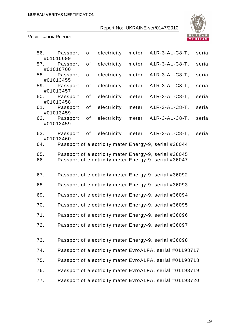

| 56.        | Passport<br>#01010699              | of | electricity | meter | $A1R-3-AL-C8-T$ ,                                                                                              | serial |
|------------|------------------------------------|----|-------------|-------|----------------------------------------------------------------------------------------------------------------|--------|
| 57.        | Passport<br>#01010700              | of | electricity | meter | $A1R-3-AL-C8-T,$                                                                                               | serial |
| 58.        | Passport                           | of | electricity | meter | $A1R-3-AL-C8-T$ ,                                                                                              | serial |
| 59.        | #01013455<br>Passport              | οf | electricity | meter | $A1R-3-AL-CB-T$ ,                                                                                              | serial |
|            | #01013457<br>60. Passport          | of | electricity | meter | $A1R-3-AL-CB-T$ ,                                                                                              | serial |
|            | #01013458<br>61. Passport          | of | electricity | meter | $A1R-3-AL-CB-T$ ,                                                                                              | serial |
| 62.        | #01013459<br>Passport<br>#01013459 | of | electricity | meter | $A1R-3-AL-CB-T$ ,                                                                                              | serial |
| 63.        | Passport<br>#01013460              | of | electricity | meter | $A1R-3-AL-C8-T,$                                                                                               | serial |
| 64.        |                                    |    |             |       | Passport of electricity meter Energy-9, serial #36044                                                          |        |
| 65.<br>66. |                                    |    |             |       | Passport of electricity meter Energy-9, serial #36045<br>Passport of electricity meter Energy-9, serial #36047 |        |
| 67.        |                                    |    |             |       | Passport of electricity meter Energy-9, serial #36092                                                          |        |
| 68.        |                                    |    |             |       | Passport of electricity meter Energy-9, serial #36093                                                          |        |
| 69.        |                                    |    |             |       | Passport of electricity meter Energy-9, serial #36094                                                          |        |
| 70.        |                                    |    |             |       | Passport of electricity meter Energy-9, serial #36095                                                          |        |
| 71.        |                                    |    |             |       | Passport of electricity meter Energy-9, serial #36096                                                          |        |
| 72.        |                                    |    |             |       | Passport of electricity meter Energy-9, serial #36097                                                          |        |
| 73.        |                                    |    |             |       | Passport of electricity meter Energy-9, serial #36098                                                          |        |
| 74.        |                                    |    |             |       | Passport of electricity meter EvroALFA, serial #01198717                                                       |        |
| 75.        |                                    |    |             |       | Passport of electricity meter EvroALFA, serial #01198718                                                       |        |
| 76.        |                                    |    |             |       | Passport of electricity meter EvroALFA, serial #01198719                                                       |        |
| 77.        |                                    |    |             |       | Passport of electricity meter EvroALFA, serial #01198720                                                       |        |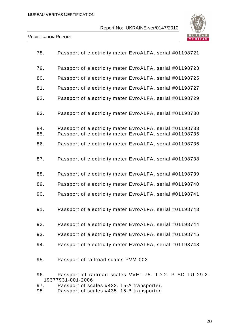

| 78.        | Passport of electricity meter EvroALFA, serial #01198721                                                             |
|------------|----------------------------------------------------------------------------------------------------------------------|
| 79.        | Passport of electricity meter EvroALFA, serial #01198723                                                             |
| 80.        | Passport of electricity meter EvroALFA, serial #01198725                                                             |
| 81.        | Passport of electricity meter EvroALFA, serial #01198727                                                             |
| 82.        | Passport of electricity meter EvroALFA, serial #01198729                                                             |
| 83.        | Passport of electricity meter EvroALFA, serial #01198730                                                             |
| 84.<br>85. | Passport of electricity meter EvroALFA, serial #01198733<br>Passport of electricity meter EvroALFA, serial #01198735 |
| 86.        | Passport of electricity meter EvroALFA, serial #01198736                                                             |
| 87.        | Passport of electricity meter EvroALFA, serial #01198738                                                             |
| 88.        | Passport of electricity meter EvroALFA, serial #01198739                                                             |
| 89.        | Passport of electricity meter EvroALFA, serial #01198740                                                             |
| 90.        | Passport of electricity meter EvroALFA, serial #01198741                                                             |
| 91.        | Passport of electricity meter EvroALFA, serial #01198743                                                             |
| 92.        | Passport of electricity meter EvroALFA, serial #01198744                                                             |
| 93.        | Passport of electricity meter EvroALFA, serial #01198745                                                             |
| 94.        | Passport of electricity meter EvroALFA, serial #01198748                                                             |
| 95.        | Passport of railroad scales PVM-002                                                                                  |
| 96.        | Passport of railroad scales VVET-75. TD-2. P SD TU 29.2-<br>19377931-001-2006                                        |
| 97.        | Passport of scales #432. 15-A transporter.                                                                           |

98. Passport of scales #435. 15-B transporter.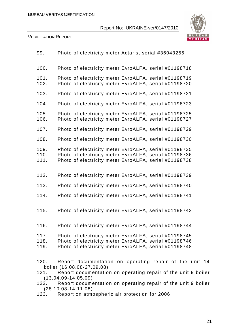

VERIFICATION REPORT

| 99.                  | Photo of electricity meter Actaris, serial #36043255                                                                                                                                                                                               |
|----------------------|----------------------------------------------------------------------------------------------------------------------------------------------------------------------------------------------------------------------------------------------------|
| 100.                 | Photo of electricity meter EvroALFA, serial #01198718                                                                                                                                                                                              |
| 101.<br>102.         | Photo of electricity meter EvroALFA, serial #01198719<br>Photo of electricity meter EvroALFA, serial #01198720                                                                                                                                     |
| 103.                 | Photo of electricity meter EvroALFA, serial #01198721                                                                                                                                                                                              |
| 104.                 | Photo of electricity meter EvroALFA, serial #01198723                                                                                                                                                                                              |
| 105.<br>106.         | Photo of electricity meter EvroALFA, serial #01198725<br>Photo of electricity meter EvroALFA, serial #01198727                                                                                                                                     |
| 107.                 | Photo of electricity meter EvroALFA, serial #01198729                                                                                                                                                                                              |
| 108.                 | Photo of electricity meter EvroALFA, serial #01198730                                                                                                                                                                                              |
| 109.<br>110.<br>111. | Photo of electricity meter EvroALFA, serial #01198735<br>Photo of electricity meter EvroALFA, serial #01198736<br>Photo of electricity meter EvroALFA, serial #01198738                                                                            |
| 112.                 | Photo of electricity meter EvroALFA, serial #01198739                                                                                                                                                                                              |
| 113.                 | Photo of electricity meter EvroALFA, serial #01198740                                                                                                                                                                                              |
| 114.                 | Photo of electricity meter EvroALFA, serial #01198741                                                                                                                                                                                              |
| 115.                 | Photo of electricity meter EvroALFA, serial #01198743                                                                                                                                                                                              |
| 116.                 | Photo of electricity meter EvroALFA, serial #01198744                                                                                                                                                                                              |
| 117.<br>118.<br>119. | Photo of electricity meter EvroALFA, serial #01198745<br>Photo of electricity meter EvroALFA, serial #01198746<br>Photo of electricity meter EvroALFA, serial #01198748                                                                            |
| 120.<br>121.<br>122. | Report documentation on operating repair of the unit 14<br>boiler (16.08.08-27.09.08)<br>Report documentation on operating repair of the unit 9 boiler<br>$(13.04.09 - 14.05.09)$<br>Report documentation on operating repair of the unit 9 boiler |
|                      | $(28.10.08 - 14.11.08)$                                                                                                                                                                                                                            |

123. Report on atmospheric air protection for 2006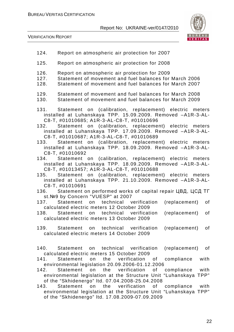



| 124.                 | Report on atmospheric air protection for 2007                                                                                                                                                                                                                                                           |
|----------------------|---------------------------------------------------------------------------------------------------------------------------------------------------------------------------------------------------------------------------------------------------------------------------------------------------------|
| 125.                 | Report on atmospheric air protection for 2008                                                                                                                                                                                                                                                           |
| 126.<br>127.<br>128. | Report on atmospheric air protection for 2009<br>Statement of movement and fuel balances for March 2006<br>Statement of movement and fuel balances for March 2007                                                                                                                                       |
| 129.<br>130.         | Statement of movement and fuel balances for March 2008<br>Statement of movement and fuel balances for March 2009                                                                                                                                                                                        |
|                      | 131. Statement on (calibration, replacement) electric meters<br>installed at Luhanskaya TPP. 15.09.2009. Removed -A1R-3-AL-<br>C8-T, #01010685; A1R-3-AL-C8-T, #01010696<br>132. Statement on (calibration, replacement) electric meters<br>installed at Luhanskaya TPP. 17.09.2009. Removed -A1R-3-AL- |
|                      | C8-T, #01010687; A1R-3-AL-C8-T, #01010689<br>133. Statement on (calibration, replacement) electric meters<br>installed at Luhanskaya TPP. 18.09.2009. Removed -A1R-3-AL-<br>C8-T. #01010692                                                                                                             |
|                      | 134. Statement on (calibration, replacement) electric meters<br>installed at Luhanskaya TPP. 18.09.2009. Removed -A1R-3-AL-<br>C8-T, #01013457; A1R-3-AL-C8-T, #01010688                                                                                                                                |
|                      | 135. Statement on (calibration, replacement) electric meters<br>installed at Luhanskaya TPP. 21.10.2009. Removed -A1R-3-AL-<br>C8-T, #01010691                                                                                                                                                          |
|                      | 136. Statement on performed works of capital repair ЦВД, ЦСД ТГ<br>st. Nº9 by Concern "VUESP" at 2007                                                                                                                                                                                                   |
|                      | (replacement)<br>137. Statement on technical verification<br>of<br>calculated electric meters 12 October 2009                                                                                                                                                                                           |
|                      | 138. Statement on technical verification<br>(replacement)<br>of<br>calculated electric meters 13 October 2009                                                                                                                                                                                           |
|                      | 139. Statement on technical verification (replacement) of<br>calculated electric meters 14 October 2009                                                                                                                                                                                                 |
|                      | technical verification<br>(replacement)<br>Statement<br>on<br>0f<br>calculated electric meters 15 October 2009                                                                                                                                                                                          |
| 141.                 | Statement on the verification<br>with<br>of compliance<br>environmental legislation 20.09.2006-01.12.2006                                                                                                                                                                                               |
| 142.                 | Statement on the verification<br>compliance<br>with<br>of<br>TPP"<br>environmental legislation at the Structure Unit "Luhanskaya<br>of the "Skhidenergo" Itd. 07.04.2008-25.04.2008                                                                                                                     |
| 143.                 | with<br>on the<br>verification<br>compliance<br>Statement<br>of<br>environmental legislation at the Structure Unit "Luhanskaya<br>TPP"<br>of the "Skhidenergo" Itd. 17.08.2009-07.09.2009                                                                                                               |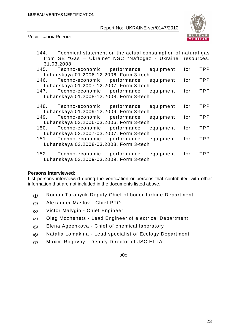

VERIFICATION REPORT

|            | 144. Technical statement on the actual consumption of natural gas<br>from SE "Gas - Ukraine" NSC "Naftogaz - Ukraine" resources. |           |     |            |
|------------|----------------------------------------------------------------------------------------------------------------------------------|-----------|-----|------------|
| 31.03.2008 |                                                                                                                                  |           |     |            |
| 145.       | Techno-economic performance                                                                                                      | equipment | for | <b>TPP</b> |
|            | Luhanskaya 01.2006-12.2006. Form 3-tech                                                                                          |           |     |            |
| 146.       | Techno-economic performance equipment                                                                                            |           | for | <b>TPP</b> |
|            | Luhanskaya 01.2007-12.2007. Form 3-tech                                                                                          |           |     |            |
| 147.       | Techno-economic performance                                                                                                      | equipment | for | <b>TPP</b> |
|            | Luhanskaya 01.2008-12.2008. Form 3-tech                                                                                          |           |     |            |
|            |                                                                                                                                  |           |     |            |
|            | 148. Techno-economic performance                                                                                                 | equipment | for | <b>TPP</b> |
|            | Luhanskaya 01.2009-12.2009. Form 3-tech                                                                                          |           |     |            |
|            | Techno-economic performance                                                                                                      | equipment | for | <b>TPP</b> |
|            | Luhanskaya 03.2006-03.2006. Form 3-tech                                                                                          |           |     |            |
| 150.       | Techno-economic performance                                                                                                      | equipment | for | <b>TPP</b> |
|            | Luhanskaya 03.2007-03.2007. Form 3-tech                                                                                          |           |     |            |
| 151.       | Techno-economic performance                                                                                                      | equipment | for | <b>TPP</b> |
|            | Luhanskaya 03.2008-03.2008. Form 3-tech                                                                                          |           |     |            |
|            |                                                                                                                                  |           |     |            |
|            | 152. Techno-economic performance equipment                                                                                       |           | for | <b>TPP</b> |
|            | Luhanskaya 03.2009-03.2009. Form 3-tech                                                                                          |           |     |            |

#### **Persons interviewed:**

List persons interviewed during the verification or persons that contributed with other information that are not included in the documents listed above.

- /1/ Roman Taranyuk-Deputy Chief of boiler-turbine Department
- /2/ Alexander Maslov Chief PTO
- /3/ Victor Malygin Chief Engineer
- /4/ Oleg Mozhenets Lead Engineer of electrical Department
- /5/ Elena Ageenkova Chief of chemical laboratory
- /6/ Natalia Lomakina Lead specialist of Ecology Department
- /7/ Maxim Rogovoy Deputy Director of JSC ELTA

o0o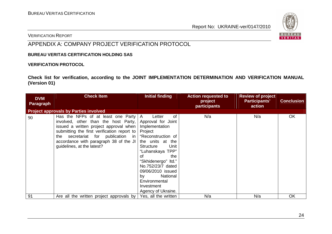

#### VERIFICATION REPORT

# APPENDIX A: COMPANY PROJECT VERIFICATION PROTOCOL

#### **BUREAU VERITAS CERTIFICATION HOLDING SAS**

#### **VERIFICATION PROTOCOL**

**Check list for verification, according to the JOINT IMPLEMENTATION DETERMINATION AND VERIFICATION MANUAL (Version 01)** 

| <b>DVM</b><br><b>Paragraph</b> | <b>Check Item</b>                                                                                                                                                                                                                                                                                                                      | Initial finding                                                                                                                                                                                                                                             | <b>Action requested to</b><br>project<br>participants | <b>Review of project</b><br><b>Participants'</b><br>action | <b>Conclusion</b> |
|--------------------------------|----------------------------------------------------------------------------------------------------------------------------------------------------------------------------------------------------------------------------------------------------------------------------------------------------------------------------------------|-------------------------------------------------------------------------------------------------------------------------------------------------------------------------------------------------------------------------------------------------------------|-------------------------------------------------------|------------------------------------------------------------|-------------------|
|                                | <b>Project approvals by Parties involved</b>                                                                                                                                                                                                                                                                                           |                                                                                                                                                                                                                                                             |                                                       |                                                            |                   |
| 90                             | Has the NFPs of at least one Party $ A $<br>involved, other than the host Party,<br>issued a written project approval when   Implementation<br>submitting the first verification report to Project<br>secretariat for publication in "Reconstruction of<br>the<br>accordance with paragraph 38 of the JI<br>guidelines, at the latest? | оf<br>Letter<br>Approval for Joint<br>the units at the<br>Unit<br><b>Structure</b><br>"Luhanskaya TPP"<br>the<br>οf<br>"Skhidenergo" Itd."<br>No.752/23/7 dated<br>09/06/2010 issued<br>National<br>by<br>Environmental<br>Investment<br>Agency of Ukraine. | N/a                                                   | N/a                                                        | OK                |
| 91                             | Are all the written project approvals by                                                                                                                                                                                                                                                                                               | Yes, all the written                                                                                                                                                                                                                                        | N/a                                                   | N/a                                                        | OK                |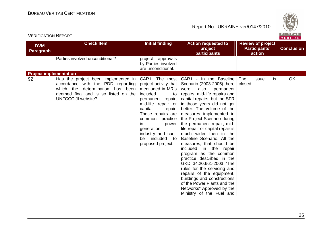

| <b>VERIFICATION REPORT</b>     |                                                                                                                                                                                              |                                                                                                                                                                                                                                                                            |                                                                                                                                                                                                                                                                                                                                                                                                                                                                                                                                                                                                                                                                                                                                              |                                                     | BUREAU<br>VERITAS |
|--------------------------------|----------------------------------------------------------------------------------------------------------------------------------------------------------------------------------------------|----------------------------------------------------------------------------------------------------------------------------------------------------------------------------------------------------------------------------------------------------------------------------|----------------------------------------------------------------------------------------------------------------------------------------------------------------------------------------------------------------------------------------------------------------------------------------------------------------------------------------------------------------------------------------------------------------------------------------------------------------------------------------------------------------------------------------------------------------------------------------------------------------------------------------------------------------------------------------------------------------------------------------------|-----------------------------------------------------|-------------------|
| <b>DVM</b><br><b>Paragraph</b> | <b>Check Item</b>                                                                                                                                                                            | <b>Initial finding</b>                                                                                                                                                                                                                                                     | <b>Action requested to</b><br>project<br>participants                                                                                                                                                                                                                                                                                                                                                                                                                                                                                                                                                                                                                                                                                        | <b>Review of project</b><br>Participants'<br>action | <b>Conclusion</b> |
|                                | Parties involved unconditional?                                                                                                                                                              | project approvals<br>by Parties involved<br>are unconditional.                                                                                                                                                                                                             |                                                                                                                                                                                                                                                                                                                                                                                                                                                                                                                                                                                                                                                                                                                                              |                                                     |                   |
| <b>Project implementation</b>  |                                                                                                                                                                                              |                                                                                                                                                                                                                                                                            |                                                                                                                                                                                                                                                                                                                                                                                                                                                                                                                                                                                                                                                                                                                                              |                                                     |                   |
| 92                             | Has the project been implemented in $\vert$<br>accordance with the PDD regarding<br>which the<br>determination has been<br>deemed final and is so listed on the<br><b>UNFCCC JI website?</b> | project activity that<br>mentioned in MR's<br>included<br>to<br>permanent repair,<br>mid-life repair or<br>capital<br>repair.<br>These repairs are<br>common practise<br>in.<br>power  <br>generation<br>industry and can't<br>included<br>be<br>to l<br>proposed project. | CAR1: The most   CAR1 - In the Baseline<br>Scenario (2003-2005) there<br>also<br>permanent<br>were<br>repairs, mid-life repairs and<br>capital repairs, but the SFR<br>in those years did not get<br>better. The volume of the<br>measures implemented in<br>the Project Scenario during<br>the permanent repair, mid-<br>life repair or capital repair is<br>much wider then in the<br>Baseline Scenario. All the<br>measures, that should be<br>included in the repair<br>program as the common<br>practice described in the<br>GKD 34.20.661-2003 "The<br>rules for the servicing and<br>repairs of the equipment,<br>buildings and constructions<br>of the Power Plants and the<br>Networks" Approved by the<br>Ministry of the Fuel and | The<br>issue<br>is<br>closed.                       | OK                |

25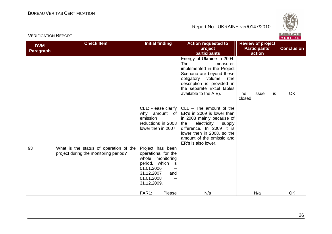

|                                |                                                                                 |                                                                                                                                                                       |                                                                                                                                                                                                                                                                                                                                                                                                                                                                          |                                                            | VERIIAS.          |
|--------------------------------|---------------------------------------------------------------------------------|-----------------------------------------------------------------------------------------------------------------------------------------------------------------------|--------------------------------------------------------------------------------------------------------------------------------------------------------------------------------------------------------------------------------------------------------------------------------------------------------------------------------------------------------------------------------------------------------------------------------------------------------------------------|------------------------------------------------------------|-------------------|
| <b>DVM</b><br><b>Paragraph</b> | <b>Check Item</b>                                                               | <b>Initial finding</b>                                                                                                                                                | <b>Action requested to</b><br>project<br>participants                                                                                                                                                                                                                                                                                                                                                                                                                    | <b>Review of project</b><br><b>Participants'</b><br>action | <b>Conclusion</b> |
|                                |                                                                                 | CL1: Please clarify<br>why amount<br>of l<br>emission<br>reductions in 2008<br>lower then in 2007.                                                                    | Energy of Ukraine in 2004.<br><b>The</b><br>measures<br>implemented in the Project<br>Scenario are beyond these<br>obligatory volume<br>(the<br>description is provided in<br>the separate Excel tables<br>available to the AIE).<br>$CL1 - The amount of the$<br>ER's in 2009 is lower then<br>in 2008 mainly because of<br>electricity<br>the<br>supply<br>difference. In 2009 it is<br>lower then in 2008, so the<br>amount of the emissio and<br>ER's is also lower. | <b>The</b><br>issue<br>is<br>closed.                       | OK                |
| 93                             | What is the status of operation of the<br>project during the monitoring period? | Project has been<br>operational for the<br>whole monitoring<br>period, which<br>is<br>01.01.2006<br>31.12.2007<br>and<br>01.01.2008<br>31.12.2009.<br>FAR1:<br>Please | N/a                                                                                                                                                                                                                                                                                                                                                                                                                                                                      | N/a                                                        | OK                |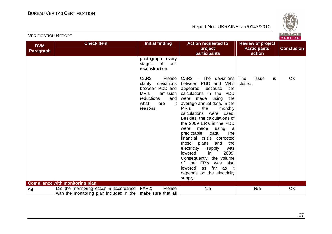

| <b>DVM</b><br><b>Paragraph</b> | <b>Check Item</b>                                                                                               | <b>Initial finding</b>                                                                                                                | <b>Action requested to</b><br>project<br>participants                                                                                                                                                                                                                                                                                                                                                                                                                                                                                                                                         | <b>Review of project</b><br>Participants'<br>action | <b>Conclusion</b> |
|--------------------------------|-----------------------------------------------------------------------------------------------------------------|---------------------------------------------------------------------------------------------------------------------------------------|-----------------------------------------------------------------------------------------------------------------------------------------------------------------------------------------------------------------------------------------------------------------------------------------------------------------------------------------------------------------------------------------------------------------------------------------------------------------------------------------------------------------------------------------------------------------------------------------------|-----------------------------------------------------|-------------------|
|                                |                                                                                                                 | photograph every<br>stages of<br>unit<br>reconstruction.                                                                              |                                                                                                                                                                                                                                                                                                                                                                                                                                                                                                                                                                                               |                                                     |                   |
|                                |                                                                                                                 | CAR2:<br>Please<br>clarify<br>deviations<br>between PDD and<br>MR's<br>emission<br>reductions<br>and<br>what<br>it<br>are<br>reasons. | $CAR2$ – The deviations<br>between PDD and MR's<br>appeared<br>the<br>because<br>calculations in the PDD<br>made using<br>the<br>were<br>average annual data. In the<br>MR's<br>the<br>monthly<br>calculations were used.<br>Besides, the calculations of<br>the 2009 ER's in the PDD<br>made<br>were<br>using a<br>predictable<br>data.<br>The<br>financial crisis corrected<br>those plans<br>and<br>the<br>electricity<br>supply<br>was<br>2009.<br>lowered<br>in.<br>Consequently, the volume<br>of the ER's was also<br>as far as it<br>lowered<br>depends on the electricity<br>supply. | <b>The</b><br>is<br>issue<br>closed.                | OK                |
|                                | <b>Compliance with monitoring plan</b>                                                                          |                                                                                                                                       |                                                                                                                                                                                                                                                                                                                                                                                                                                                                                                                                                                                               |                                                     |                   |
| 94                             | Did the monitoring occur in accordance   FAR2:<br>with the monitoring plan included in the   make sure that all | Please                                                                                                                                | N/a                                                                                                                                                                                                                                                                                                                                                                                                                                                                                                                                                                                           | N/a                                                 | OK                |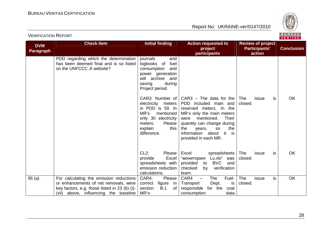

| <b>DVM</b>       | <b>Check Item</b>                                                                                                                                                          | <b>Initial finding</b>                                                                                                                   | <b>Action requested to</b>                                                                                                                                                                                                                                                                         | <b>Review of project</b>      |                   |
|------------------|----------------------------------------------------------------------------------------------------------------------------------------------------------------------------|------------------------------------------------------------------------------------------------------------------------------------------|----------------------------------------------------------------------------------------------------------------------------------------------------------------------------------------------------------------------------------------------------------------------------------------------------|-------------------------------|-------------------|
| <b>Paragraph</b> |                                                                                                                                                                            |                                                                                                                                          | project                                                                                                                                                                                                                                                                                            | <b>Participants'</b>          | <b>Conclusion</b> |
|                  |                                                                                                                                                                            |                                                                                                                                          | participants                                                                                                                                                                                                                                                                                       | action                        |                   |
|                  | PDD regarding which the determination<br>has been deemed final and is so listed<br>on the UNFCCC JI website?                                                               | and<br>journals<br>fuel<br>logbooks of<br>consumption<br>and<br>power generation<br>will archive and<br>saving<br>during                 |                                                                                                                                                                                                                                                                                                    |                               |                   |
|                  |                                                                                                                                                                            | Project period.<br>electricity meters<br>MR's<br>mentioned<br>only 30 electricity<br>Please<br>meters.<br>explain<br>this<br>difference. | CAR3: Number of $ $ CAR3 – The data for the<br>PDD included main and<br>in PDD is 59. In reserved meters. In the<br>MR's only the main meters<br>mentioned.<br>Their<br>were<br>quantity can change during<br>the<br>the<br>years,<br><b>SO</b><br>information about it is<br>provided in each MR. | The<br>issue<br>is<br>closed. | OK                |
|                  |                                                                                                                                                                            | $CL2$ :<br>Please<br>Excel<br>provide<br>spreadsheets with<br>emission reduction<br>calculations.                                        | Excel<br>spreadsheets<br>"мониторинг Lu.xls" was<br><b>BVC</b><br>provided<br>and<br>to<br>checked<br>verification<br>by<br>team.                                                                                                                                                                  | The<br>is<br>issue<br>closed. | OK                |
| 95(a)            | For calculating the emission reductions<br>or enhancements of net removals, were<br>key factors, e.g. those listed in 23 (b) (i)-<br>(vii) above, influencing the baseline | CAR4:<br>Please<br>figure<br>correct<br>in.<br>B.1<br>section<br>0f<br>MR's:                                                             | The<br>CAR4<br>Fuel-<br>$\overline{\phantom{0}}$<br>Dept.<br>Transport<br>is<br>responsible for the<br>coal<br>consumption<br>data                                                                                                                                                                 | The<br>is<br>issue<br>closed. | <b>OK</b>         |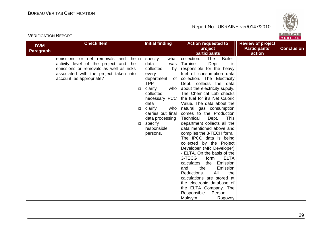

| <b>DVM</b>       | <b>Check Item</b>                                  |   | <b>Initial finding</b>       | <b>Action requested to</b>                     | <b>Review of project</b> |                   |
|------------------|----------------------------------------------------|---|------------------------------|------------------------------------------------|--------------------------|-------------------|
| <b>Paragraph</b> |                                                    |   |                              | project                                        | Participants'            | <b>Conclusion</b> |
|                  |                                                    |   |                              | participants                                   | action                   |                   |
|                  | emissions or net removals and<br>the $ _{\square}$ |   | specify<br>what              | Boiler-<br>collection.<br>The                  |                          |                   |
|                  | activity level of the project and the              |   | data<br>was                  | Turbine<br>Dept.<br>is                         |                          |                   |
|                  | emissions or removals as well as risks             |   | collected<br>by <sub>1</sub> | responsible for the heavy                      |                          |                   |
|                  | associated with the project taken into             |   | every                        | fuel oil consumption data                      |                          |                   |
|                  | account, as appropriate?                           |   | department<br>of l           | collection. The Electricity                    |                          |                   |
|                  |                                                    |   | <b>TPP</b>                   | Dept. collects the data                        |                          |                   |
|                  |                                                    | □ | clarify<br>who               | about the electricity supply.                  |                          |                   |
|                  |                                                    |   | collected                    | The Chemical Lab checks                        |                          |                   |
|                  |                                                    |   | necessary IPCC               | the fuel for it's Net Caloric                  |                          |                   |
|                  |                                                    |   | data                         | Value. The data about the                      |                          |                   |
|                  |                                                    | □ | clarify<br>who               | natural gas consumption                        |                          |                   |
|                  |                                                    |   | carries out final            | comes to the Production                        |                          |                   |
|                  |                                                    |   | data processing              | Technical<br>Dept.<br>This                     |                          |                   |
|                  |                                                    | □ | specify                      | department collects all the                    |                          |                   |
|                  |                                                    |   | responsible                  | data mentioned above and                       |                          |                   |
|                  |                                                    |   | persons.                     | compiles the 3-TECH form.                      |                          |                   |
|                  |                                                    |   |                              | The IPCC data is being                         |                          |                   |
|                  |                                                    |   |                              | collected by the Project                       |                          |                   |
|                  |                                                    |   |                              | Developer (MR Developer)                       |                          |                   |
|                  |                                                    |   |                              | - ELTA. On the basis of the                    |                          |                   |
|                  |                                                    |   |                              | 3-TECG<br><b>ELTA</b><br>form                  |                          |                   |
|                  |                                                    |   |                              | calculates the Emission                        |                          |                   |
|                  |                                                    |   |                              | the<br>Emission<br>and                         |                          |                   |
|                  |                                                    |   |                              | All<br>the<br>Reductions.                      |                          |                   |
|                  |                                                    |   |                              | calculations are stored at                     |                          |                   |
|                  |                                                    |   |                              | the electronic database of                     |                          |                   |
|                  |                                                    |   |                              | the ELTA Company. The<br>Responsible<br>Person |                          |                   |
|                  |                                                    |   |                              | $\overline{\phantom{a}}$                       |                          |                   |
|                  |                                                    |   |                              | Maksym<br>Rogovoy                              |                          |                   |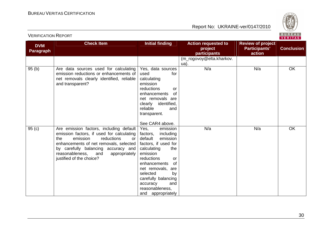

| <b>DVM</b><br><b>Paragraph</b> | <b>Check Item</b>                                                                                                                                                                                                                                                                      | <b>Initial finding</b>                                                                                                                                                                                                                                                                                           | <b>Action requested to</b><br>project<br><b>participants</b> | <b>Review of project</b><br>Participants'<br>action | <b>Conclusion</b> |
|--------------------------------|----------------------------------------------------------------------------------------------------------------------------------------------------------------------------------------------------------------------------------------------------------------------------------------|------------------------------------------------------------------------------------------------------------------------------------------------------------------------------------------------------------------------------------------------------------------------------------------------------------------|--------------------------------------------------------------|-----------------------------------------------------|-------------------|
|                                |                                                                                                                                                                                                                                                                                        |                                                                                                                                                                                                                                                                                                                  | (m_rogovoy@elta.kharkov.<br>$\mathsf{u}\mathsf{a}$ ).        |                                                     |                   |
| 95(b)                          | Are data sources used for calculating<br>emission reductions or enhancements of<br>net removals clearly identified, reliable<br>and transparent?                                                                                                                                       | Yes, data sources<br>used<br>for<br>calculating<br>emission<br>reductions<br><b>or</b><br>of<br>enhancements<br>net removals are<br>identified,<br>clearly<br>reliable<br>and<br>transparent.                                                                                                                    | N/a                                                          | N/a                                                 | <b>OK</b>         |
| 95(c)                          | Are emission factors, including default<br>emission factors, if used for calculating<br>emission<br>reductions<br>the<br>$\alpha$<br>enhancements of net removals, selected<br>by carefully balancing accuracy and<br>reasonableness, and<br>appropriately<br>justified of the choice? | See CAR4 above.<br>Yes,<br>emission<br>factors,<br>including<br>default<br>emission<br>factors, if used for<br>calculating<br>the<br>emission<br>reductions<br>or<br>of<br>enhancements<br>net removals, are<br>selected<br>by<br>carefully balancing<br>and<br>accuracy<br>reasonableness,<br>and appropriately | N/a                                                          | N/a                                                 | <b>OK</b>         |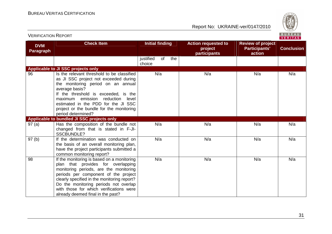

| <b>DVM</b><br><b>Paragraph</b> | <b>Check Item</b>                                                                                                                                                                                                                                                                                                                          | <b>Initial finding</b>           | <b>Action requested to</b><br>project<br><b>participants</b> | <b>Review of project</b><br><b>Participants'</b><br>action | <b>Conclusion</b> |
|--------------------------------|--------------------------------------------------------------------------------------------------------------------------------------------------------------------------------------------------------------------------------------------------------------------------------------------------------------------------------------------|----------------------------------|--------------------------------------------------------------|------------------------------------------------------------|-------------------|
|                                |                                                                                                                                                                                                                                                                                                                                            | of<br>the<br>justified<br>choice |                                                              |                                                            |                   |
|                                | Applicable to JI SSC projects only                                                                                                                                                                                                                                                                                                         |                                  |                                                              |                                                            |                   |
| 96                             | Is the relevant threshold to be classified<br>as JI SSC project not exceeded during<br>the monitoring period on an annual<br>average basis?<br>If the threshold is exceeded, is the<br>emission<br>reduction<br>maximum<br>level<br>estimated in the PDD for the JI SSC<br>project or the bundle for the monitoring<br>period determined?  | N/a                              | N/a                                                          | N/a                                                        | N/a               |
|                                | Applicable to bundled JI SSC projects only                                                                                                                                                                                                                                                                                                 |                                  |                                                              |                                                            |                   |
| 97(a)                          | Has the composition of the bundle not<br>changed from that is stated in F-JI-<br><b>SSCBUNDLE?</b>                                                                                                                                                                                                                                         | N/a                              | N/a                                                          | N/a                                                        | N/a               |
| 97(b)                          | If the determination was conducted on<br>the basis of an overall monitoring plan,<br>have the project participants submitted a<br>common monitoring report?                                                                                                                                                                                | N/a                              | N/a                                                          | N/a                                                        | N/a               |
| 98                             | If the monitoring is based on a monitoring<br>plan that provides for overlapping<br>monitoring periods, are the monitoring<br>periods per component of the project<br>clearly specified in the monitoring report?<br>Do the monitoring periods not overlap<br>with those for which verifications were<br>already deemed final in the past? | N/a                              | N/a                                                          | N/a                                                        | N/a               |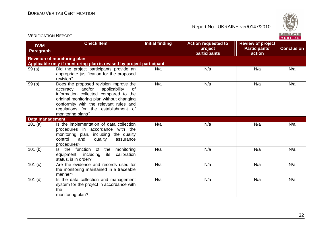

| <b>DVM</b>       | <b>Check Item</b>                                                                                                                                                                                                                                                                | <b>Initial finding</b> | <b>Action requested to</b> | <b>Review of project</b> |                   |
|------------------|----------------------------------------------------------------------------------------------------------------------------------------------------------------------------------------------------------------------------------------------------------------------------------|------------------------|----------------------------|--------------------------|-------------------|
| <b>Paragraph</b> |                                                                                                                                                                                                                                                                                  |                        | project<br>participants    | Participants'<br>action  | <b>Conclusion</b> |
|                  | <b>Revision of monitoring plan</b>                                                                                                                                                                                                                                               |                        |                            |                          |                   |
|                  | Applicable only if monitoring plan is revised by project participant                                                                                                                                                                                                             |                        |                            |                          |                   |
| 99(a)            | Did the project participants provide an<br>appropriate justification for the proposed<br>revision?                                                                                                                                                                               | N/a                    | N/a                        | N/a                      | N/a               |
| 99(b)            | Does the proposed revision improve the<br>and/or<br>applicability<br>0f<br>accuracy<br>information collected compared to the<br>original monitoring plan without changing<br>conformity with the relevant rules and<br>regulations for the establishment of<br>monitoring plans? | N/a                    | N/a                        | N/a                      | N/a               |
| Data management  |                                                                                                                                                                                                                                                                                  |                        |                            |                          |                   |
| 101(a)           | Is the implementation of data collection<br>procedures in accordance with the<br>monitoring plan, including the quality<br>quality<br>control<br>and<br>assurance<br>procedures?                                                                                                 | N/a                    | N/a                        | N/a                      | N/a               |
| 101(b)           | of<br>Is the function<br>the<br>monitoring<br>equipment, including<br>calibration<br>its<br>status, is in order?                                                                                                                                                                 | N/a                    | N/a                        | N/a                      | N/a               |
| 101 (c)          | Are the evidence and records used for<br>the monitoring maintained in a traceable<br>manner?                                                                                                                                                                                     | N/a                    | N/a                        | N/a                      | N/a               |
| $101$ (d)        | Is the data collection and management<br>system for the project in accordance with<br>the<br>monitoring plan?                                                                                                                                                                    | N/a                    | N/a                        | N/a                      | N/a               |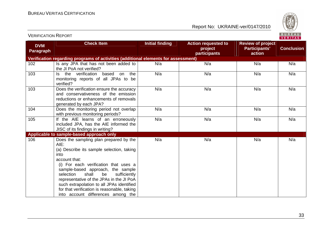

| <b>VERIFICATION REPORT</b>     |                                                                                                                                                                                                                                                                                                                                                                                                                              |                        |                                                       |                                                     | BUREAU<br>VERITAS |
|--------------------------------|------------------------------------------------------------------------------------------------------------------------------------------------------------------------------------------------------------------------------------------------------------------------------------------------------------------------------------------------------------------------------------------------------------------------------|------------------------|-------------------------------------------------------|-----------------------------------------------------|-------------------|
| <b>DVM</b><br><b>Paragraph</b> | <b>Check Item</b>                                                                                                                                                                                                                                                                                                                                                                                                            | <b>Initial finding</b> | <b>Action requested to</b><br>project<br>participants | <b>Review of project</b><br>Participants'<br>action | <b>Conclusion</b> |
|                                | Verification regarding programs of activities (additional elements for assessment)                                                                                                                                                                                                                                                                                                                                           |                        |                                                       |                                                     |                   |
| 102                            | Is any JPA that has not been added to<br>the JI PoA not verified?                                                                                                                                                                                                                                                                                                                                                            | N/a                    | N/a                                                   | N/a                                                 | N/a               |
| 103                            | the verification based<br>on the<br>ls.<br>monitoring reports of all JPAs to be<br>verified?                                                                                                                                                                                                                                                                                                                                 | N/a                    | N/a                                                   | N/a                                                 | N/a               |
| 103                            | Does the verification ensure the accuracy<br>and conservativeness of the emission<br>reductions or enhancements of removals<br>generated by each JPA?                                                                                                                                                                                                                                                                        | N/a                    | N/a                                                   | N/a                                                 | N/a               |
| 104                            | Does the monitoring period not overlap<br>with previous monitoring periods?                                                                                                                                                                                                                                                                                                                                                  | N/a                    | N/a                                                   | N/a                                                 | N/a               |
| 105                            | If the AIE learns of an erroneously<br>included JPA, has the AIE informed the<br>JISC of its findings in writing?                                                                                                                                                                                                                                                                                                            | N/a                    | N/a                                                   | N/a                                                 | N/a               |
|                                | Applicable to sample-based approach only                                                                                                                                                                                                                                                                                                                                                                                     |                        |                                                       |                                                     |                   |
| 106                            | Does the sampling plan prepared by the<br>AIE:<br>(a) Describe its sample selection, taking<br>into<br>account that:<br>(i) For each verification that uses a<br>sample-based approach, the sample<br>shall<br>be<br>sufficiently<br>selection<br>representative of the JPAs in the JI PoA<br>such extrapolation to all JPAs identified<br>for that verification is reasonable, taking<br>into account differences among the | N/a                    | N/a                                                   | N/a                                                 | N/a               |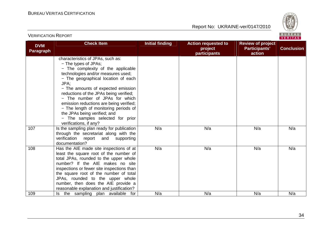

| <b>DVM</b> | <b>Check Item</b>                          | <b>Initial finding</b> | <b>Action requested to</b>     | <b>Review of project</b> |                   |
|------------|--------------------------------------------|------------------------|--------------------------------|--------------------------|-------------------|
| Paragraph  |                                            |                        | project<br><b>participants</b> | Participants'<br>action  | <b>Conclusion</b> |
|            | characteristics of JPAs, such as:          |                        |                                |                          |                   |
|            | - The types of JPAs;                       |                        |                                |                          |                   |
|            | - The complexity of the applicable         |                        |                                |                          |                   |
|            | technologies and/or measures used;         |                        |                                |                          |                   |
|            | - The geographical location of each        |                        |                                |                          |                   |
|            | JPA;                                       |                        |                                |                          |                   |
|            | - The amounts of expected emission         |                        |                                |                          |                   |
|            | reductions of the JPAs being verified;     |                        |                                |                          |                   |
|            | - The number of JPAs for which             |                        |                                |                          |                   |
|            | emission reductions are being verified;    |                        |                                |                          |                   |
|            | - The length of monitoring periods of      |                        |                                |                          |                   |
|            | the JPAs being verified; and               |                        |                                |                          |                   |
|            | - The samples selected for prior           |                        |                                |                          |                   |
|            | verifications, if any?                     |                        |                                |                          |                   |
| 107        | Is the sampling plan ready for publication | N/a                    | N/a                            | N/a                      | N/a               |
|            | through the secretariat along with the     |                        |                                |                          |                   |
|            | verification report<br>and<br>supporting   |                        |                                |                          |                   |
|            | documentation?                             |                        |                                |                          |                   |
| 108        | Has the AIE made site inspections of at    | N/a                    | N/a                            | N/a                      | N/a               |
|            | least the square root of the number of     |                        |                                |                          |                   |
|            | total JPAs, rounded to the upper whole     |                        |                                |                          |                   |
|            | number? If the AIE makes no site           |                        |                                |                          |                   |
|            | inspections or fewer site inspections than |                        |                                |                          |                   |
|            | the square root of the number of total     |                        |                                |                          |                   |
|            | JPAs, rounded to the upper whole           |                        |                                |                          |                   |
|            | number, then does the AIE provide a        |                        |                                |                          |                   |
|            | reasonable explanation and justification?  |                        |                                |                          |                   |
| 109        | Is the sampling plan available<br>for      | N/a                    | N/a                            | N/a                      | N/a               |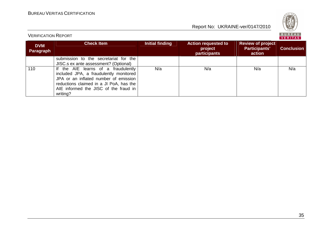

| <b>DVM</b><br>Paragraph | <b>Check Item</b>                                                                                                                                                                                                      | Initial finding | <b>Action requested to</b><br>project<br><b>participants</b> | <b>Review of project</b><br>Participants'<br>action | <b>Conclusion</b> |
|-------------------------|------------------------------------------------------------------------------------------------------------------------------------------------------------------------------------------------------------------------|-----------------|--------------------------------------------------------------|-----------------------------------------------------|-------------------|
|                         | submission to the secretariat for the<br>JISC.s ex ante assessment? (Optional)                                                                                                                                         |                 |                                                              |                                                     |                   |
| 110                     | If the AIE learns of a fraudulently<br>included JPA, a fraudulently monitored<br>JPA or an inflated number of emission<br>reductions claimed in a JI PoA, has the<br>AIE informed the JISC of the fraud in<br>writing? | N/a             | N/a                                                          | N/a                                                 | N/a               |